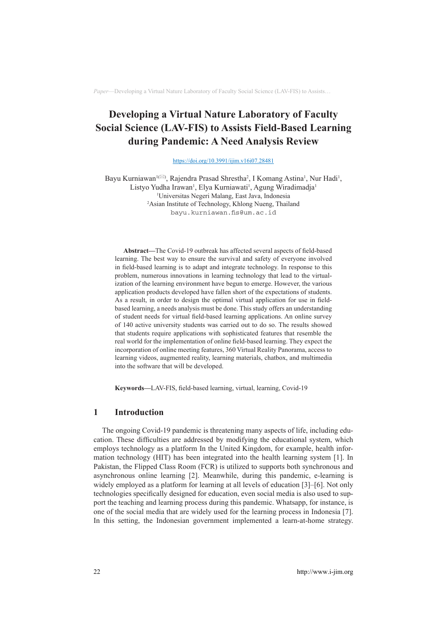# **Developing a Virtual Nature Laboratory of Faculty Social Science (LAV-FIS) to Assists Field-Based Learning during Pandemic: A Need Analysis Review**

<https://doi.org/10.3991/ijim.v16i07.28481>

Bayu Kurniawan<sup>1(⊠)</sup>, Rajendra Prasad Shrestha<sup>2</sup>, I Komang Astina<sup>1</sup>, Nur Hadi<sup>1</sup>, Listyo Yudha Irawan<sup>1</sup>, Elya Kurniawati<sup>1</sup>, Agung Wiradimadja<sup>1</sup> 1 Universitas Negeri Malang, East Java, Indonesia 2 Asian Institute of Technology, Khlong Nueng, Thailand [bayu.kurniawan.fis@um.ac.id](mailto:bayu.kurniawan.fis@um.ac.id)

**Abstract—**The Covid-19 outbreak has affected several aspects of field-based learning. The best way to ensure the survival and safety of everyone involved in field-based learning is to adapt and integrate technology. In response to this problem, numerous innovations in learning technology that lead to the virtualization of the learning environment have begun to emerge. However, the various application products developed have fallen short of the expectations of students. As a result, in order to design the optimal virtual application for use in fieldbased learning, a needs analysis must be done. This study offers an understanding of student needs for virtual field-based learning applications. An online survey of 140 active university students was carried out to do so. The results showed that students require applications with sophisticated features that resemble the real world for the implementation of online field-based learning. They expect the incorporation of online meeting features, 360 Virtual Reality Panorama, access to learning videos, augmented reality, learning materials, chatbox, and multimedia into the software that will be developed.

**Keywords—**LAV-FIS, field-based learning, virtual, learning, Covid-19

### **1 Introduction**

The ongoing Covid-19 pandemic is threatening many aspects of life, including education. These difficulties are addressed by modifying the educational system, which employs technology as a platform In the United Kingdom, for example, health information technology (HIT) has been integrated into the health learning system [1]. In Pakistan, the Flipped Class Room (FCR) is utilized to supports both synchronous and asynchronous online learning [2]. Meanwhile, during this pandemic, e-learning is widely employed as a platform for learning at all levels of education [3]–[6]. Not only technologies specifically designed for education, even social media is also used to support the teaching and learning process during this pandemic. Whatsapp, for instance, is one of the social media that are widely used for the learning process in Indonesia [7]. In this setting, the Indonesian government implemented a learn-at-home strategy.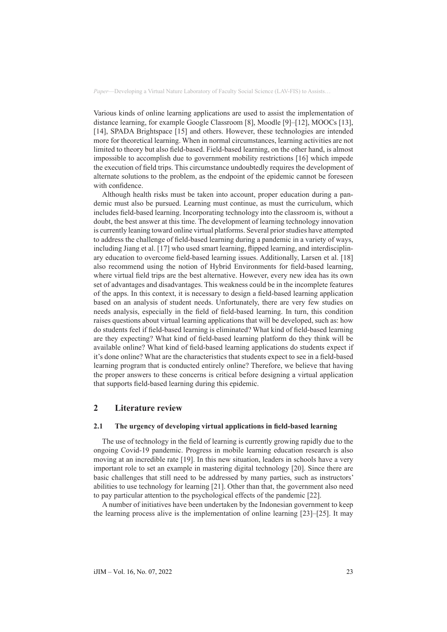Various kinds of online learning applications are used to assist the implementation of distance learning, for example Google Classroom [8], Moodle [9]–[12], MOOCs [13], [14], SPADA Brightspace [15] and others. However, these technologies are intended more for theoretical learning. When in normal circumstances, learning activities are not limited to theory but also field-based. Field-based learning, on the other hand, is almost impossible to accomplish due to government mobility restrictions [16] which impede the execution of field trips. This circumstance undoubtedly requires the development of alternate solutions to the problem, as the endpoint of the epidemic cannot be foreseen with confidence.

Although health risks must be taken into account, proper education during a pandemic must also be pursued. Learning must continue, as must the curriculum, which includes field-based learning. Incorporating technology into the classroom is, without a doubt, the best answer at this time. The development of learning technology innovation is currently leaning toward online virtual platforms. Several prior studies have attempted to address the challenge of field-based learning during a pandemic in a variety of ways, including Jiang et al. [17] who used smart learning, flipped learning, and interdisciplinary education to overcome field-based learning issues. Additionally, Larsen et al. [18] also recommend using the notion of Hybrid Environments for field-based learning, where virtual field trips are the best alternative. However, every new idea has its own set of advantages and disadvantages. This weakness could be in the incomplete features of the apps. In this context, it is necessary to design a field-based learning application based on an analysis of student needs. Unfortunately, there are very few studies on needs analysis, especially in the field of field-based learning. In turn, this condition raises questions about virtual learning applications that will be developed, such as: how do students feel if field-based learning is eliminated? What kind of field-based learning are they expecting? What kind of field-based learning platform do they think will be available online? What kind of field-based learning applications do students expect if it's done online? What are the characteristics that students expect to see in a field-based learning program that is conducted entirely online? Therefore, we believe that having the proper answers to these concerns is critical before designing a virtual application that supports field-based learning during this epidemic.

# **2 Literature review**

### **2.1 The urgency of developing virtual applications in field-based learning**

The use of technology in the field of learning is currently growing rapidly due to the ongoing Covid-19 pandemic. Progress in mobile learning education research is also moving at an incredible rate [19]. In this new situation, leaders in schools have a very important role to set an example in mastering digital technology [20]. Since there are basic challenges that still need to be addressed by many parties, such as instructors' abilities to use technology for learning [21]. Other than that, the government also need to pay particular attention to the psychological effects of the pandemic [22].

A number of initiatives have been undertaken by the Indonesian government to keep the learning process alive is the implementation of online learning [23]–[25]. It may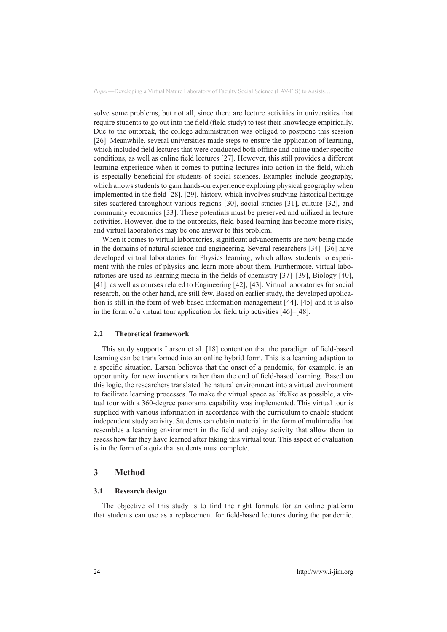solve some problems, but not all, since there are lecture activities in universities that require students to go out into the field (field study) to test their knowledge empirically. Due to the outbreak, the college administration was obliged to postpone this session [26]. Meanwhile, several universities made steps to ensure the application of learning, which included field lectures that were conducted both offline and online under specific conditions, as well as online field lectures [27]. However, this still provides a different learning experience when it comes to putting lectures into action in the field, which is especially beneficial for students of social sciences. Examples include geography, which allows students to gain hands-on experience exploring physical geography when implemented in the field [28], [29], history, which involves studying historical heritage sites scattered throughout various regions [30], social studies [31], culture [32], and community economics [33]. These potentials must be preserved and utilized in lecture activities. However, due to the outbreaks, field-based learning has become more risky, and virtual laboratories may be one answer to this problem.

When it comes to virtual laboratories, significant advancements are now being made in the domains of natural science and engineering. Several researchers [34]–[36] have developed virtual laboratories for Physics learning, which allow students to experiment with the rules of physics and learn more about them. Furthermore, virtual laboratories are used as learning media in the fields of chemistry [37]–[39], Biology [40], [41], as well as courses related to Engineering [42], [43]. Virtual laboratories for social research, on the other hand, are still few. Based on earlier study, the developed application is still in the form of web-based information management [44], [45] and it is also in the form of a virtual tour application for field trip activities [46]–[48].

### **2.2 Theoretical framework**

This study supports Larsen et al. [18] contention that the paradigm of field-based learning can be transformed into an online hybrid form. This is a learning adaption to a specific situation. Larsen believes that the onset of a pandemic, for example, is an opportunity for new inventions rather than the end of field-based learning. Based on this logic, the researchers translated the natural environment into a virtual environment to facilitate learning processes. To make the virtual space as lifelike as possible, a virtual tour with a 360-degree panorama capability was implemented. This virtual tour is supplied with various information in accordance with the curriculum to enable student independent study activity. Students can obtain material in the form of multimedia that resembles a learning environment in the field and enjoy activity that allow them to assess how far they have learned after taking this virtual tour. This aspect of evaluation is in the form of a quiz that students must complete.

### **3 Method**

#### **3.1 Research design**

The objective of this study is to find the right formula for an online platform that students can use as a replacement for field-based lectures during the pandemic.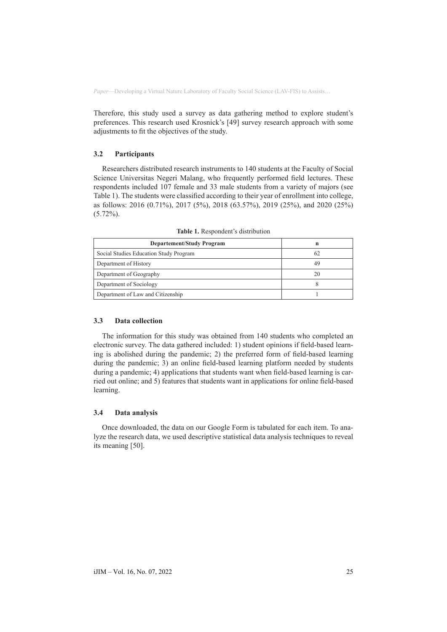Therefore, this study used a survey as data gathering method to explore student's preferences. This research used Krosnick's [49] survey research approach with some adjustments to fit the objectives of the study.

### **3.2 Participants**

Researchers distributed research instruments to 140 students at the Faculty of Social Science Universitas Negeri Malang, who frequently performed field lectures. These respondents included 107 female and 33 male students from a variety of majors (see Table 1). The students were classified according to their year of enrollment into college, as follows: 2016 (0.71%), 2017 (5%), 2018 (63.57%), 2019 (25%), and 2020 (25%)  $(5.72\%)$ .

| <b>Departement/Study Program</b>       | n  |
|----------------------------------------|----|
| Social Studies Education Study Program | 62 |
| Department of History                  | 49 |
| Department of Geography                | 20 |
| Department of Sociology                |    |
| Department of Law and Citizenship      |    |

**Table 1.** Respondent's distribution

### **3.3 Data collection**

The information for this study was obtained from 140 students who completed an electronic survey. The data gathered included: 1) student opinions if field-based learning is abolished during the pandemic; 2) the preferred form of field-based learning during the pandemic; 3) an online field-based learning platform needed by students during a pandemic; 4) applications that students want when field-based learning is carried out online; and 5) features that students want in applications for online field-based learning.

### **3.4 Data analysis**

Once downloaded, the data on our Google Form is tabulated for each item. To analyze the research data, we used descriptive statistical data analysis techniques to reveal its meaning [50].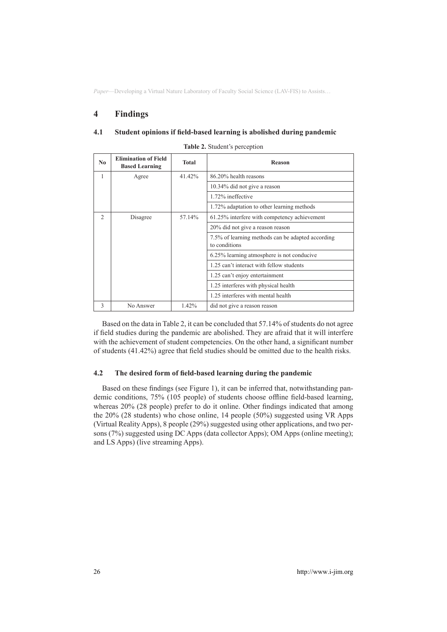# **4 Findings**

#### **4.1 Student opinions if field-based learning is abolished during pandemic**

| N <sub>0</sub>           | <b>Elimination of Field</b><br><b>Based Learning</b> | Total                        | Reason                                                             |  |
|--------------------------|------------------------------------------------------|------------------------------|--------------------------------------------------------------------|--|
| 1                        | Agree                                                | 41.42%                       | 86.20% health reasons                                              |  |
|                          |                                                      | 10.34% did not give a reason |                                                                    |  |
|                          |                                                      |                              | 1.72% ineffective                                                  |  |
|                          |                                                      |                              | 1.72% adaptation to other learning methods                         |  |
| $\mathfrak{D}_{1}^{(1)}$ | Disagree                                             | 57.14%                       | 61.25% interfere with competency achievement                       |  |
|                          |                                                      |                              | 20% did not give a reason reason                                   |  |
|                          |                                                      |                              | 7.5% of learning methods can be adapted according<br>to conditions |  |
|                          |                                                      |                              | 6.25% learning atmosphere is not conducive                         |  |
|                          |                                                      |                              | 1.25 can't interact with fellow students                           |  |
|                          |                                                      |                              | 1.25 can't enjoy entertainment                                     |  |
|                          |                                                      |                              | 1.25 interferes with physical health                               |  |
|                          |                                                      |                              | 1.25 interferes with mental health                                 |  |
| 3                        | No Answer                                            | 1.42%                        | did not give a reason reason                                       |  |

|  |  |  | Table 2. Student's perception |
|--|--|--|-------------------------------|
|--|--|--|-------------------------------|

Based on the data in Table 2, it can be concluded that 57.14% of students do not agree if field studies during the pandemic are abolished. They are afraid that it will interfere with the achievement of student competencies. On the other hand, a significant number of students (41.42%) agree that field studies should be omitted due to the health risks.

### **4.2 The desired form of field-based learning during the pandemic**

Based on these findings (see Figure 1), it can be inferred that, notwithstanding pandemic conditions, 75% (105 people) of students choose offline field-based learning, whereas 20% (28 people) prefer to do it online. Other findings indicated that among the 20% (28 students) who chose online, 14 people (50%) suggested using VR Apps (Virtual Reality Apps), 8 people (29%) suggested using other applications, and two persons (7%) suggested using DC Apps (data collector Apps); OM Apps (online meeting); and LS Apps) (live streaming Apps).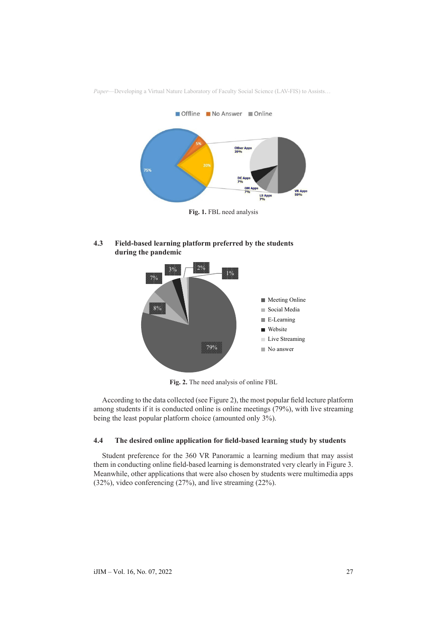

**4.3 Field-based learning platform preferred by the students during the pandemic**



**Fig. 2.** The need analysis of online FBL

According to the data collected (see Figure 2), the most popular field lecture platform among students if it is conducted online is online meetings (79%), with live streaming being the least popular platform choice (amounted only 3%).

### **4.4 The desired online application for field-based learning study by students**

Student preference for the 360 VR Panoramic a learning medium that may assist them in conducting online field-based learning is demonstrated very clearly in Figure 3. Meanwhile, other applications that were also chosen by students were multimedia apps (32%), video conferencing (27%), and live streaming (22%).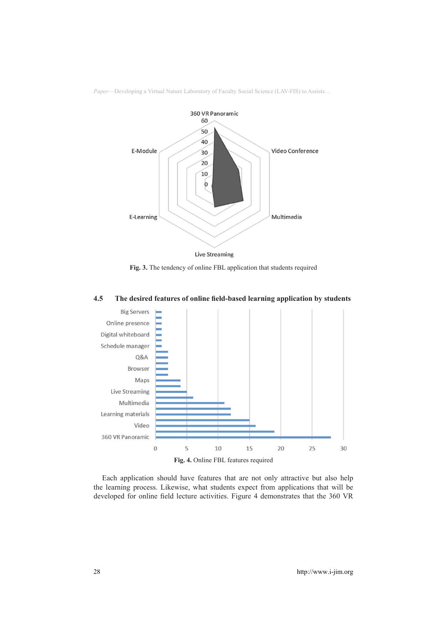

**Fig. 3.** The tendency of online FBL application that students required



# **4.5 The desired features of online field-based learning application by students**

Each application should have features that are not only attractive but also help the learning process. Likewise, what students expect from applications that will be developed for online field lecture activities. Figure 4 demonstrates that the 360 VR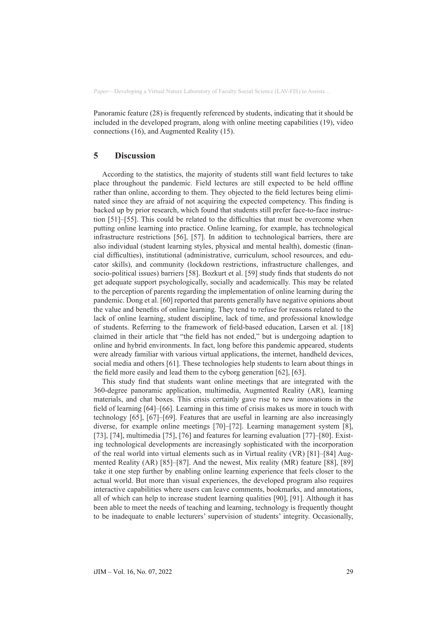Panoramic feature (28) is frequently referenced by students, indicating that it should be included in the developed program, along with online meeting capabilities (19), video connections (16), and Augmented Reality (15).

# **5 Discussion**

According to the statistics, the majority of students still want field lectures to take place throughout the pandemic. Field lectures are still expected to be held offline rather than online, according to them. They objected to the field lectures being eliminated since they are afraid of not acquiring the expected competency. This finding is backed up by prior research, which found that students still prefer face-to-face instruction [51]–[55]. This could be related to the difficulties that must be overcome when putting online learning into practice. Online learning, for example, has technological infrastructure restrictions [56], [57]. In addition to technological barriers, there are also individual (student learning styles, physical and mental health), domestic (financial difficulties), institutional (administrative, curriculum, school resources, and educator skills), and community (lockdown restrictions, infrastructure challenges, and socio-political issues) barriers [58]. Bozkurt et al. [59] study finds that students do not get adequate support psychologically, socially and academically. This may be related to the perception of parents regarding the implementation of online learning during the pandemic. Dong et al. [60] reported that parents generally have negative opinions about the value and benefits of online learning. They tend to refuse for reasons related to the lack of online learning, student discipline, lack of time, and professional knowledge of students. Referring to the framework of field-based education, Larsen et al. [18] claimed in their article that "the field has not ended," but is undergoing adaption to online and hybrid environments. In fact, long before this pandemic appeared, students were already familiar with various virtual applications, the internet, handheld devices, social media and others [61]. These technologies help students to learn about things in the field more easily and lead them to the cyborg generation [62], [63].

This study find that students want online meetings that are integrated with the 360-degree panoramic application, multimedia, Augmented Reality (AR), learning materials, and chat boxes. This crisis certainly gave rise to new innovations in the field of learning [64]–[66]. Learning in this time of crisis makes us more in touch with technology [65], [67]–[69]. Features that are useful in learning are also increasingly diverse, for example online meetings [70]–[72]. Learning management system [8], [73], [74], multimedia [75], [76] and features for learning evaluation [77]–[80]. Existing technological developments are increasingly sophisticated with the incorporation of the real world into virtual elements such as in Virtual reality (VR) [81]–[84] Augmented Reality (AR) [85]–[87]. And the newest, Mix reality (MR) feature [88], [89] take it one step further by enabling online learning experience that feels closer to the actual world. But more than visual experiences, the developed program also requires interactive capabilities where users can leave comments, bookmarks, and annotations, all of which can help to increase student learning qualities [90], [91]. Although it has been able to meet the needs of teaching and learning, technology is frequently thought to be inadequate to enable lecturers' supervision of students' integrity. Occasionally,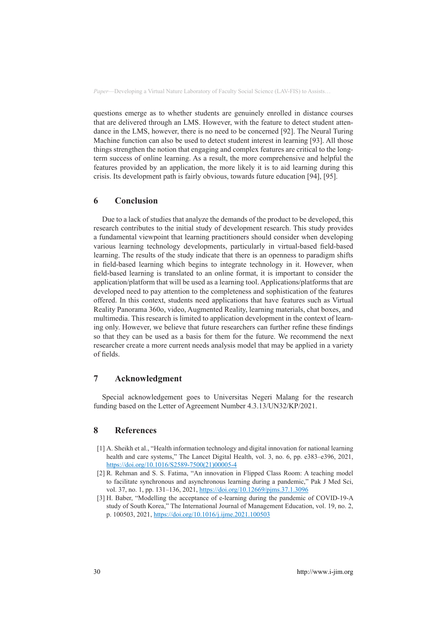questions emerge as to whether students are genuinely enrolled in distance courses that are delivered through an LMS. However, with the feature to detect student attendance in the LMS, however, there is no need to be concerned [92]. The Neural Turing Machine function can also be used to detect student interest in learning [93]. All those things strengthen the notion that engaging and complex features are critical to the longterm success of online learning. As a result, the more comprehensive and helpful the features provided by an application, the more likely it is to aid learning during this crisis. Its development path is fairly obvious, towards future education [94], [95].

### **6 Conclusion**

Due to a lack of studies that analyze the demands of the product to be developed, this research contributes to the initial study of development research. This study provides a fundamental viewpoint that learning practitioners should consider when developing various learning technology developments, particularly in virtual-based field-based learning. The results of the study indicate that there is an openness to paradigm shifts in field-based learning which begins to integrate technology in it. However, when field-based learning is translated to an online format, it is important to consider the application/platform that will be used as a learning tool. Applications/platforms that are developed need to pay attention to the completeness and sophistication of the features offered. In this context, students need applications that have features such as Virtual Reality Panorama 360o, video, Augmented Reality, learning materials, chat boxes, and multimedia. This research is limited to application development in the context of learning only. However, we believe that future researchers can further refine these findings so that they can be used as a basis for them for the future. We recommend the next researcher create a more current needs analysis model that may be applied in a variety of fields.

# **7 Acknowledgment**

Special acknowledgement goes to Universitas Negeri Malang for the research funding based on the Letter of Agreement Number 4.3.13/UN32/KP/2021.

# **8 References**

- [1] A. Sheikh et al., "Health information technology and digital innovation for national learning health and care systems," The Lancet Digital Health, vol. 3, no. 6, pp. e383–e396, 2021, [https://doi.org/10.1016/S2589-7500\(21\)00005-4](https://doi.org/10.1016/S2589-7500(21)00005-4)
- [2] R. Rehman and S. S. Fatima, "An innovation in Flipped Class Room: A teaching model to facilitate synchronous and asynchronous learning during a pandemic," Pak J Med Sci, vol. 37, no. 1, pp. 131–136, 2021, <https://doi.org/10.12669/pjms.37.1.3096>
- [3] H. Baber, "Modelling the acceptance of e-learning during the pandemic of COVID-19-A study of South Korea," The International Journal of Management Education, vol. 19, no. 2, p. 100503, 2021, <https://doi.org/10.1016/j.ijme.2021.100503>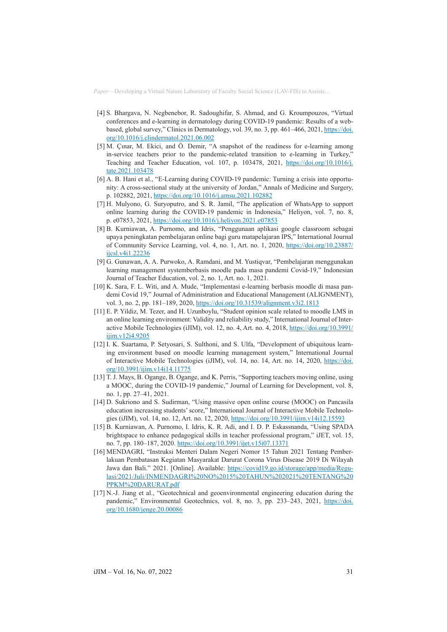- [4] S. Bhargava, N. Negbenebor, R. Sadoughifar, S. Ahmad, and G. Kroumpouzos, "Virtual conferences and e-learning in dermatology during COVID-19 pandemic: Results of a webbased, global survey," Clinics in Dermatology, vol. 39, no. 3, pp. 461–466, 2021, [https://doi.](https://doi.org/10.1016/j.clindermatol.2021.06.002) [org/10.1016/j.clindermatol.2021.06.002](https://doi.org/10.1016/j.clindermatol.2021.06.002)
- [5] M. Çınar, M. Ekici, and Ö. Demir, "A snapshot of the readiness for e-learning among in-service teachers prior to the pandemic-related transition to e-learning in Turkey," Teaching and Teacher Education, vol. 107, p. 103478, 2021, [https://doi.org/10.1016/j.](https://doi.org/10.1016/j.tate.2021.103478) [tate.2021.103478](https://doi.org/10.1016/j.tate.2021.103478)
- [6] A. B. Hani et al., "E-Learning during COVID-19 pandemic: Turning a crisis into opportunity: A cross-sectional study at the university of Jordan," Annals of Medicine and Surgery, p. 102882, 2021, <https://doi.org/10.1016/j.amsu.2021.102882>
- [7] H. Mulyono, G. Suryoputro, and S. R. Jamil, "The application of WhatsApp to support online learning during the COVID-19 pandemic in Indonesia," Heliyon, vol. 7, no. 8, p. e07853, 2021,<https://doi.org/10.1016/j.heliyon.2021.e07853>
- [8] B. Kurniawan, A. Purnomo, and Idris, "Penggunaan aplikasi google classroom sebagai upaya peningkatan pembelajaran online bagi guru matapelajaran IPS," International Journal of Community Service Learning, vol. 4, no. 1, Art. no. 1, 2020, [https://doi.org/10.23887/](https://doi.org/10.23887/ijcsl.v4i1.22236) [ijcsl.v4i1.22236](https://doi.org/10.23887/ijcsl.v4i1.22236)
- [9] G. Gunawan, A. A. Purwoko, A. Ramdani, and M. Yustiqvar, "Pembelajaran menggunakan learning management systemberbasis moodle pada masa pandemi Covid-19," Indonesian Journal of Teacher Education, vol. 2, no. 1, Art. no. 1, 2021.
- [10] K. Sara, F. L. Witi, and A. Mude, "Implementasi e-learning berbasis moodle di masa pandemi Covid 19," Journal of Administration and Educational Management (ALIGNMENT), vol. 3, no. 2, pp. 181–189, 2020,<https://doi.org/10.31539/alignment.v3i2.1813>
- [11] E. P. Yildiz, M. Tezer, and H. Uzunboylu, "Student opinion scale related to moodle LMS in an online learning environment: Validity and reliability study," International Journal of Interactive Mobile Technologies (iJIM), vol. 12, no. 4, Art. no. 4, 2018, [https://doi.org/10.3991/](https://doi.org/10.3991/ijim.v12i4.9205) [ijim.v12i4.9205](https://doi.org/10.3991/ijim.v12i4.9205)
- [12] I. K. Suartama, P. Setyosari, S. Sulthoni, and S. Ulfa, "Development of ubiquitous learning environment based on moodle learning management system," International Journal of Interactive Mobile Technologies (iJIM), vol. 14, no. 14, Art. no. 14, 2020, [https://doi.](https://doi.org/10.3991/ijim.v14i14.11775) [org/10.3991/ijim.v14i14.11775](https://doi.org/10.3991/ijim.v14i14.11775)
- [13] T. J. Mays, B. Ogange, B. Ogange, and K. Perris, "Supporting teachers moving online, using a MOOC, during the COVID-19 pandemic," Journal of Learning for Development, vol. 8, no. 1, pp. 27–41, 2021.
- [14] D. Sukriono and S. Sudirman, "Using massive open online course (MOOC) on Pancasila education increasing students' score," International Journal of Interactive Mobile Technologies (iJIM), vol. 14, no. 12, Art. no. 12, 2020, <https://doi.org/10.3991/ijim.v14i12.15593>
- [15] B. Kurniawan, A. Purnomo, I. Idris, K. R. Adi, and I. D. P. Eskassnanda, "Using SPADA brightspace to enhance pedagogical skills in teacher professional program," iJET, vol. 15, no. 7, pp. 180–187, 2020.<https://doi.org/10.3991/ijet.v15i07.13371>
- [16] MENDAGRI, "Instruksi Menteri Dalam Negeri Nomor 15 Tahun 2021 Tentang Pemberlakuan Pembatasan Kegiatan Masyarakat Darurat Corona Virus Disease 2019 Di Wilayah Jawa dan Bali." 2021. [Online]. Available: [https://covid19.go.id/storage/app/media/Regu](https://covid19.go.id/storage/app/media/Regulasi/2021/Juli/INMENDAGRI NO 15 TAHUN 2021 TENTANG PPKM DARURAT.pdf)[lasi/2021/Juli/INMENDAGRI%20NO%2015%20TAHUN%202021%20TENTANG%20](https://covid19.go.id/storage/app/media/Regulasi/2021/Juli/INMENDAGRI NO 15 TAHUN 2021 TENTANG PPKM DARURAT.pdf) [PPKM%20DARURAT.pdf](https://covid19.go.id/storage/app/media/Regulasi/2021/Juli/INMENDAGRI NO 15 TAHUN 2021 TENTANG PPKM DARURAT.pdf)
- [17] N.-J. Jiang et al., "Geotechnical and geoenvironmental engineering education during the pandemic," Environmental Geotechnics, vol. 8, no. 3, pp. 233–243, 2021, [https://doi.](https://doi.org/10.1680/jenge.20.00086) [org/10.1680/jenge.20.00086](https://doi.org/10.1680/jenge.20.00086)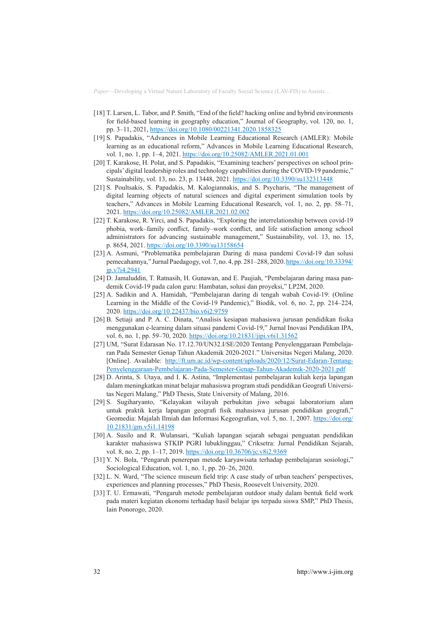- [18] T. Larsen, L. Tabor, and P. Smith, "End of the field? hacking online and hybrid environments for field-based learning in geography education," Journal of Geography, vol. 120, no. 1, pp. 3–11, 2021, <https://doi.org/10.1080/00221341.2020.1858325>
- [19] S. Papadakis, "Advances in Mobile Learning Educational Research (AMLER): Mobile learning as an educational reform," Advances in Mobile Learning Educational Research, vol. 1, no. 1, pp. 1–4, 2021.<https://doi.org/10.25082/AMLER.2021.01.001>
- [20] T. Karakose, H. Polat, and S. Papadakis, "Examining teachers' perspectives on school principals' digital leadership roles and technology capabilities during the COVID-19 pandemic," Sustainability, vol. 13, no. 23, p. 13448, 2021.<https://doi.org/10.3390/su132313448>
- [21] S. Poultsakis, S. Papadakis, M. Kalogiannakis, and S. Psycharis, "The management of digital learning objects of natural sciences and digital experiment simulation tools by teachers," Advances in Mobile Learning Educational Research, vol. 1, no. 2, pp. 58–71, 2021.<https://doi.org/10.25082/AMLER.2021.02.002>
- [22] T. Karakose, R. Yirci, and S. Papadakis, "Exploring the interrelationship between covid-19 phobia, work–family conflict, family–work conflict, and life satisfaction among school administrators for advancing sustainable management," Sustainability, vol. 13, no. 15, p. 8654, 2021. <https://doi.org/10.3390/su13158654>
- [23] A. Asmuni, "Problematika pembelajaran Daring di masa pandemi Covid-19 dan solusi pemecahannya," Jurnal Paedagogy, vol. 7, no. 4, pp. 281–288, 2020. [https://doi.org/10.33394/](https://doi.org/10.33394/jp.v7i4.2941) in v7i4.2941
- [24] D. Jamaluddin, T. Ratnasih, H. Gunawan, and E. Paujiah, "Pembelajaran daring masa pandemik Covid-19 pada calon guru: Hambatan, solusi dan proyeksi," LP2M, 2020.
- [25] A. Sadikin and A. Hamidah, "Pembelajaran daring di tengah wabah Covid-19: (Online Learning in the Middle of the Covid-19 Pandemic)," Biodik, vol. 6, no. 2, pp. 214–224, 2020.<https://doi.org/10.22437/bio.v6i2.9759>
- [26] B. Setiaji and P. A. C. Dinata, "Analisis kesiapan mahasiswa jurusan pendidikan fisika menggunakan e-learning dalam situasi pandemi Covid-19," Jurnal Inovasi Pendidikan IPA, vol. 6, no. 1, pp. 59-70, 2020.<https://doi.org/10.21831/jipi.v6i1.31562>
- [27] UM, "Surat Edarasan No. 17.12.70/UN32.I/SE/2020 Tentang Penyelenggaraan Pembelajaran Pada Semester Genap Tahun Akademik 2020-2021." Universitas Negeri Malang, 2020. [Online]. Available: [http://ft.um.ac.id/wp-content/uploads/2020/12/Surat-Edaran-Tentang-](http://ft.um.ac.id/wp-content/uploads/2020/12/Surat-Edaran-Tentang-Penyelenggaraan-Pembelajaran-Pada-Semester-Genap-Tahun-Akademik-2020-2021.pdf)[Penyelenggaraan-Pembelajaran-Pada-Semester-Genap-Tahun-Akademik-2020-2021.pdf](http://ft.um.ac.id/wp-content/uploads/2020/12/Surat-Edaran-Tentang-Penyelenggaraan-Pembelajaran-Pada-Semester-Genap-Tahun-Akademik-2020-2021.pdf)
- [28] D. Arinta, S. Utaya, and I. K. Astina, "Implementasi pembelajaran kuliah kerja lapangan dalam meningkatkan minat belajar mahasiswa program studi pendidikan Geografi Universitas Negeri Malang," PhD Thesis, State University of Malang, 2016.
- [29] S. Sugiharyanto, "Kelayakan wilayah perbukitan jiwo sebagai laboratorium alam untuk praktik kerja lapangan geografi fisik mahasiswa jurusan pendidikan geografi," Geomedia: Majalah Ilmiah dan Informasi Kegeografian, vol. 5, no. 1, 2007. [https://doi.org/](https://doi.org/10.21831/gm.v5i1.14198) [10.21831/gm.v5i1.14198](https://doi.org/10.21831/gm.v5i1.14198)
- [30] A. Susilo and R. Wulansari, "Kuliah lapangan sejarah sebagai penguatan pendidikan karakter mahasiswa STKIP PGRI lubuklinggau," Criksetra: Jurnal Pendidikan Sejarah, vol. 8, no. 2, pp. 1-17, 2019. <https://doi.org/10.36706/jc.v8i2.9369>
- [31] Y. N. Bola, "Pengaruh penerepan metode karyawisata terhadap pembelajaran sosiologi," Sociological Education, vol. 1, no. 1, pp. 20–26, 2020.
- [32] L. N. Ward, "The science museum field trip: A case study of urban teachers' perspectives, experiences and planning processes," PhD Thesis, Roosevelt University, 2020.
- [33] T. U. Ermawati, "Pengaruh metode pembelajaran outdoor study dalam bentuk field work pada materi kegiatan ekonomi terhadap hasil belajar ips terpadu siswa SMP," PhD Thesis, Iain Ponorogo, 2020.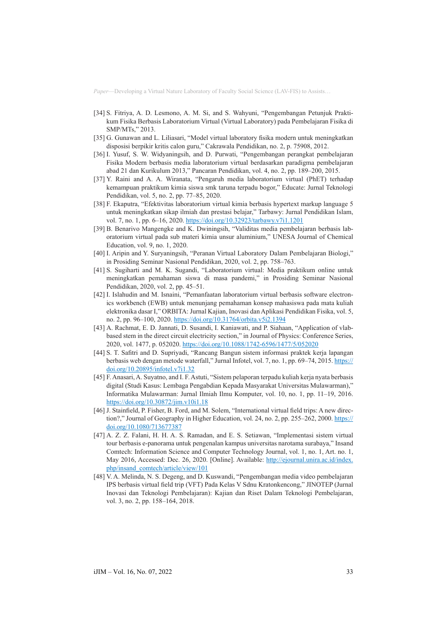- [34] S. Fitriya, A. D. Lesmono, A. M. Si, and S. Wahyuni, "Pengembangan Petunjuk Praktikum Fisika Berbasis Laboratorium Virtual (Virtual Laboratory) pada Pembelajaran Fisika di SMP/MTs," 2013.
- [35] G. Gunawan and L. Liliasari, "Model virtual laboratory fisika modern untuk meningkatkan disposisi berpikir kritis calon guru," Cakrawala Pendidikan, no. 2, p. 75908, 2012.
- [36] I. Yusuf, S. W. Widyaningsih, and D. Purwati, "Pengembangan perangkat pembelajaran Fisika Modern berbasis media laboratorium virtual berdasarkan paradigma pembelajaran abad 21 dan Kurikulum 2013," Pancaran Pendidikan, vol. 4, no. 2, pp. 189–200, 2015.
- [37] Y. Raini and A. A. Wiranata, "Pengaruh media laboratorium virtual (PhET) terhadap kemampuan praktikum kimia siswa smk taruna terpadu bogor," Educate: Jurnal Teknologi Pendidikan, vol. 5, no. 2, pp. 77–85, 2020.
- [38] F. Ekaputra, "Efektivitas laboratorium virtual kimia berbasis hypertext markup language 5 untuk meningkatkan sikap ilmiah dan prestasi belajar," Tarbawy: Jurnal Pendidikan Islam, vol. 7, no. 1, pp. 6–16, 2020. <https://doi.org/10.32923/tarbawy.v7i1.1201>
- [39] B. Benarivo Mangengke and K. Dwiningsih, "Validitas media pembelajaran berbasis laboratorium virtual pada sub materi kimia unsur aluminium," UNESA Journal of Chemical Education, vol. 9, no. 1, 2020.
- [40] I. Aripin and Y. Suryaningsih, "Peranan Virtual Laboratory Dalam Pembelajaran Biologi," in Prosiding Seminar Nasional Pendidikan, 2020, vol. 2, pp. 758–763.
- [41] S. Sugiharti and M. K. Sugandi, "Laboratorium virtual: Media praktikum online untuk meningkatkan pemahaman siswa di masa pandemi," in Prosiding Seminar Nasional Pendidikan, 2020, vol. 2, pp. 45–51.
- [42] I. Islahudin and M. Isnaini, "Pemanfaatan laboratorium virtual berbasis software electronics workbench (EWB) untuk menunjang pemahaman konsep mahasiswa pada mata kuliah elektronika dasar I," ORBITA: Jurnal Kajian, Inovasi dan Aplikasi Pendidikan Fisika, vol. 5, no. 2, pp. 96–100, 2020. <https://doi.org/10.31764/orbita.v5i2.1394>
- [43] A. Rachmat, E. D. Jannati, D. Susandi, I. Kaniawati, and P. Siahaan, "Application of vlabbased stem in the direct circuit electricity section," in Journal of Physics: Conference Series, 2020, vol. 1477, p. 052020.<https://doi.org/10.1088/1742-6596/1477/5/052020>
- [44] S. T. Safitri and D. Supriyadi, "Rancang Bangun sistem informasi praktek kerja lapangan berbasis web dengan metode waterfall," Jurnal Infotel, vol. 7, no. 1, pp. 69-74, 2015. [https://](https://doi.org/10.20895/infotel.v7i1.32) [doi.org/10.20895/infotel.v7i1.32](https://doi.org/10.20895/infotel.v7i1.32)
- [45] F. Anasari, A. Suyatno, and I. F. Astuti, "Sistem pelaporan terpadu kuliah kerja nyata berbasis digital (Studi Kasus: Lembaga Pengabdian Kepada Masyarakat Universitas Mulawarman)," Informatika Mulawarman: Jurnal Ilmiah Ilmu Komputer, vol. 10, no. 1, pp. 11–19, 2016. <https://doi.org/10.30872/jim.v10i1.18>
- [46] J. Stainfield, P. Fisher, B. Ford, and M. Solem, "International virtual field trips: A new direction?," Journal of Geography in Higher Education, vol. 24, no. 2, pp. 255–262, 2000. [https://](https://doi.org/10.1080/713677387) [doi.org/10.1080/713677387](https://doi.org/10.1080/713677387)
- [47] A. Z. Z. Falani, H. H. A. S. Ramadan, and E. S. Setiawan, "Implementasi sistem virtual tour berbasis e-panorama untuk pengenalan kampus universitas narotama surabaya," Insand Comtech: Information Science and Computer Technology Journal, vol. 1, no. 1, Art. no. 1, May 2016, Accessed: Dec. 26, 2020. [Online]. Available: [http://ejournal.unira.ac.id/index.](http://ejournal.unira.ac.id/index.php/insand_comtech/article/view/101) [php/insand\\_comtech/article/view/101](http://ejournal.unira.ac.id/index.php/insand_comtech/article/view/101)
- [48] V. A. Melinda, N. S. Degeng, and D. Kuswandi, "Pengembangan media video pembelajaran IPS berbasis virtual field trip (VFT) Pada Kelas V Sdnu Kratonkencong," JINOTEP (Jurnal Inovasi dan Teknologi Pembelajaran): Kajian dan Riset Dalam Teknologi Pembelajaran, vol. 3, no. 2, pp. 158–164, 2018.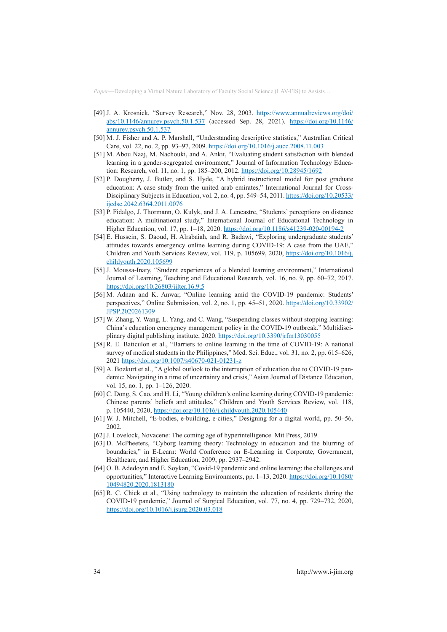- [49] J. A. Krosnick, "Survey Research," Nov. 28, 2003. [https://www.annualreviews.org/doi/](https://www.annualreviews.org/doi/abs/10.1146/annurev.psych.50.1.537 ) [abs/10.1146/annurev.psych.50.1.537](https://www.annualreviews.org/doi/abs/10.1146/annurev.psych.50.1.537 ) (accessed Sep. 28, 2021). [https://doi.org/10.1146/](https://doi.org/10.1146/annurev.psych.50.1.537) [annurev.psych.50.1.537](https://doi.org/10.1146/annurev.psych.50.1.537)
- [50] M. J. Fisher and A. P. Marshall, "Understanding descriptive statistics," Australian Critical Care, vol. 22, no. 2, pp. 93–97, 2009.<https://doi.org/10.1016/j.aucc.2008.11.003>
- [51] M. Abou Naaj, M. Nachouki, and A. Ankit, "Evaluating student satisfaction with blended learning in a gender-segregated environment," Journal of Information Technology Education: Research, vol. 11, no. 1, pp. 185–200, 2012. <https://doi.org/10.28945/1692>
- [52] P. Dougherty, J. Butler, and S. Hyde, "A hybrid instructional model for post graduate education: A case study from the united arab emirates," International Journal for CrossDisciplinary Subjects in Education, vol. 2, no. 4, pp. 549–54, 2011. [https://doi.org/10.20533/](https://doi.org/10.20533/ijcdse.2042.6364.2011.0076) [ijcdse.2042.6364.2011.0076](https://doi.org/10.20533/ijcdse.2042.6364.2011.0076)
- [53] P. Fidalgo, J. Thormann, O. Kulyk, and J. A. Lencastre, "Students' perceptions on distance education: A multinational study," International Journal of Educational Technology in Higher Education, vol. 17, pp. 1–18, 2020. <https://doi.org/10.1186/s41239-020-00194-2>
- [54] E. Hussein, S. Daoud, H. Alrabaiah, and R. Badawi, "Exploring undergraduate students' attitudes towards emergency online learning during COVID-19: A case from the UAE," Children and Youth Services Review, vol. 119, p. 105699, 2020, [https://doi.org/10.1016/j.](https://doi.org/10.1016/j.childyouth.2020.105699) [childyouth.2020.105699](https://doi.org/10.1016/j.childyouth.2020.105699)
- [55] J. Moussa-Inaty, "Student experiences of a blended learning environment," International Journal of Learning, Teaching and Educational Research, vol. 16, no. 9, pp. 60–72, 2017. <https://doi.org/10.26803/ijlter.16.9.5>
- [56] M. Adnan and K. Anwar, "Online learning amid the COVID-19 pandemic: Students' perspectives," Online Submission, vol. 2, no. 1, pp. 45–51, 2020. [https://doi.org/10.33902/](https://doi.org/10.33902/JPSP.2020261309) [JPSP.2020261309](https://doi.org/10.33902/JPSP.2020261309)
- [57] W. Zhang, Y. Wang, L. Yang, and C. Wang, "Suspending classes without stopping learning: China's education emergency management policy in the COVID-19 outbreak." Multidisciplinary digital publishing institute, 2020. <https://doi.org/10.3390/jrfm13030055>
- [58] R. E. Baticulon et al., "Barriers to online learning in the time of COVID-19: A national survey of medical students in the Philippines," Med. Sci. Educ., vol. 31, no. 2, pp. 615–626, 2021 <https://doi.org/10.1007/s40670-021-01231-z>
- [59] A. Bozkurt et al., "A global outlook to the interruption of education due to COVID-19 pandemic: Navigating in a time of uncertainty and crisis," Asian Journal of Distance Education, vol. 15, no. 1, pp. 1–126, 2020.
- [60] C. Dong, S. Cao, and H. Li, "Young children's online learning during COVID-19 pandemic: Chinese parents' beliefs and attitudes," Children and Youth Services Review, vol. 118, p. 105440, 2020, <https://doi.org/10.1016/j.childyouth.2020.105440>
- [61] W. J. Mitchell, "E-bodies, e-building, e-cities," Designing for a digital world, pp. 50–56, 2002.
- [62] J. Lovelock, Novacene: The coming age of hyperintelligence. Mit Press, 2019.
- [63] D. McPheeters, "Cyborg learning theory: Technology in education and the blurring of boundaries," in E-Learn: World Conference on E-Learning in Corporate, Government, Healthcare, and Higher Education, 2009, pp. 2937–2942.
- [64] O. B. Adedoyin and E. Soykan, "Covid-19 pandemic and online learning: the challenges and opportunities," Interactive Learning Environments, pp. 1–13, 2020. [https://doi.org/10.1080/](https://doi.org/10.1080/10494820.2020.1813180) [10494820.2020.1813180](https://doi.org/10.1080/10494820.2020.1813180)
- [65] R. C. Chick et al., "Using technology to maintain the education of residents during the COVID-19 pandemic," Journal of Surgical Education, vol. 77, no. 4, pp. 729–732, 2020, <https://doi.org/10.1016/j.jsurg.2020.03.018>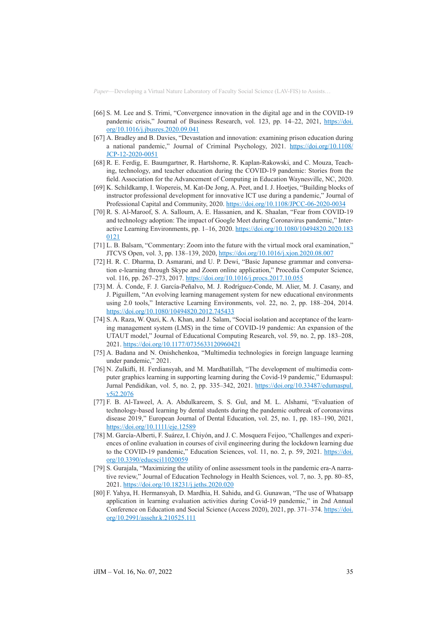- [66] S. M. Lee and S. Trimi, "Convergence innovation in the digital age and in the COVID-19 pandemic crisis," Journal of Business Research, vol. 123, pp. 14–22, 2021, [https://doi.](https://doi.org/10.1016/j.jbusres.2020.09.041) [org/10.1016/j.jbusres.2020.09.041](https://doi.org/10.1016/j.jbusres.2020.09.041)
- [67] A. Bradley and B. Davies, "Devastation and innovation: examining prison education during a national pandemic," Journal of Criminal Psychology, 2021. [https://doi.org/10.1108/](https://doi.org/10.1108/JCP-12-2020-0051) [JCP-12-2020-0051](https://doi.org/10.1108/JCP-12-2020-0051)
- [68] R. E. Ferdig, E. Baumgartner, R. Hartshorne, R. Kaplan-Rakowski, and C. Mouza, Teaching, technology, and teacher education during the COVID-19 pandemic: Stories from the field. Association for the Advancement of Computing in Education Waynesville, NC, 2020.
- [69] K. Schildkamp, I. Wopereis, M. Kat-De Jong, A. Peet, and I. J. Hoetjes, "Building blocks of instructor professional development for innovative ICT use during a pandemic," Journal of Professional Capital and Community, 2020.<https://doi.org/10.1108/JPCC-06-2020-0034>
- [70] R. S. Al-Maroof, S. A. Salloum, A. E. Hassanien, and K. Shaalan, "Fear from COVID-19 and technology adoption: The impact of Google Meet during Coronavirus pandemic," Interactive Learning Environments, pp. 1–16, 2020. [https://doi.org/10.1080/10494820.2020.183](https://doi.org/10.1080/10494820.2020.1830121) [0121](https://doi.org/10.1080/10494820.2020.1830121)
- [71] L. B. Balsam, "Commentary: Zoom into the future with the virtual mock oral examination," JTCVS Open, vol. 3, pp. 138–139, 2020,<https://doi.org/10.1016/j.xjon.2020.08.007>
- [72] H. R. C. Dharma, D. Asmarani, and U. P. Dewi, "Basic Japanese grammar and conversation e-learning through Skype and Zoom online application," Procedia Computer Science, vol. 116, pp. 267–273, 2017.<https://doi.org/10.1016/j.procs.2017.10.055>
- [73] M. Á. Conde, F. J. García-Peñalvo, M. J. Rodríguez-Conde, M. Alier, M. J. Casany, and J. Piguillem, "An evolving learning management system for new educational environments using 2.0 tools," Interactive Learning Environments, vol. 22, no. 2, pp. 188–204, 2014. <https://doi.org/10.1080/10494820.2012.745433>
- [74] S. A. Raza, W. Qazi, K. A. Khan, and J. Salam, "Social isolation and acceptance of the learning management system (LMS) in the time of COVID-19 pandemic: An expansion of the UTAUT model," Journal of Educational Computing Research, vol. 59, no. 2, pp. 183–208, 2021.<https://doi.org/10.1177/0735633120960421>
- [75] A. Badana and N. Onishchenkoa, "Multimedia technologies in foreign language learning under pandemic," 2021.
- [76] N. Zulkifli, H. Ferdiansyah, and M. Mardhatillah, "The development of multimedia computer graphics learning in supporting learning during the Covid-19 pandemic," Edumaspul: Jurnal Pendidikan, vol. 5, no. 2, pp. 335–342, 2021. [https://doi.org/10.33487/edumaspul.](https://doi.org/10.33487/edumaspul.v5i2.2076) [v5i2.2076](https://doi.org/10.33487/edumaspul.v5i2.2076)
- [77] F. B. Al-Taweel, A. A. Abdulkareem, S. S. Gul, and M. L. Alshami, "Evaluation of technology-based learning by dental students during the pandemic outbreak of coronavirus disease 2019," European Journal of Dental Education, vol. 25, no. 1, pp. 183–190, 2021, <https://doi.org/10.1111/eje.12589>
- [78] M. García-Alberti, F. Suárez, I. Chiyón, and J. C. Mosquera Feijoo, "Challenges and experiences of online evaluation in courses of civil engineering during the lockdown learning due to the COVID-19 pandemic," Education Sciences, vol. 11, no. 2, p. 59, 2021. [https://doi.](https://doi.org/10.3390/educsci11020059) [org/10.3390/educsci11020059](https://doi.org/10.3390/educsci11020059)
- [79] S. Gurajala, "Maximizing the utility of online assessment tools in the pandemic era-A narrative review," Journal of Education Technology in Health Sciences, vol. 7, no. 3, pp. 80–85, 2021.<https://doi.org/10.18231/j.jeths.2020.020>
- [80] F. Yahya, H. Hermansyah, D. Mardhia, H. Sahidu, and G. Gunawan, "The use of Whatsapp application in learning evaluation activities during Covid-19 pandemic," in 2nd Annual Conference on Education and Social Science (Access 2020), 2021, pp. 371–374. [https://doi.](https://doi.org/10.2991/assehr.k.210525.111) [org/10.2991/assehr.k.210525.111](https://doi.org/10.2991/assehr.k.210525.111)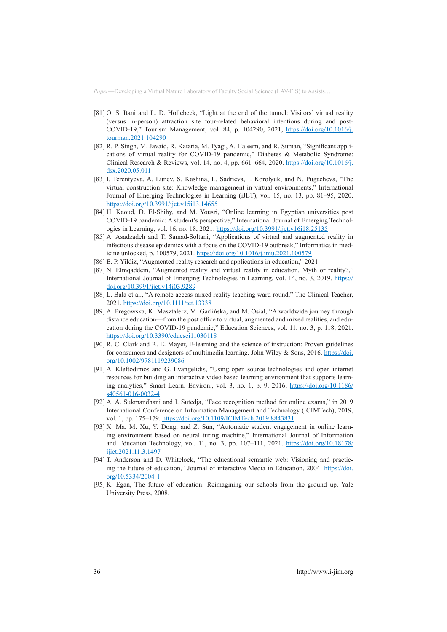- [81] O. S. Itani and L. D. Hollebeek, "Light at the end of the tunnel: Visitors' virtual reality (versus in-person) attraction site tour-related behavioral intentions during and post-COVID-19," Tourism Management, vol. 84, p. 104290, 2021, [https://doi.org/10.1016/j.](https://doi.org/10.1016/j.tourman.2021.104290) [tourman.2021.104290](https://doi.org/10.1016/j.tourman.2021.104290)
- [82] R. P. Singh, M. Javaid, R. Kataria, M. Tyagi, A. Haleem, and R. Suman, "Significant applications of virtual reality for COVID-19 pandemic," Diabetes & Metabolic Syndrome: Clinical Research & Reviews, vol. 14, no. 4, pp. 661–664, 2020. [https://doi.org/10.1016/j.](https://doi.org/10.1016/j.dsx.2020.05.011) [dsx.2020.05.011](https://doi.org/10.1016/j.dsx.2020.05.011)
- [83] I. Terentyeva, A. Lunev, S. Kashina, L. Sadrieva, I. Korolyuk, and N. Pugacheva, "The virtual construction site: Knowledge management in virtual environments," International Journal of Emerging Technologies in Learning (iJET), vol. 15, no. 13, pp. 81–95, 2020. <https://doi.org/10.3991/ijet.v15i13.14655>
- [84] H. Kaoud, D. El-Shihy, and M. Yousri, "Online learning in Egyptian universities post COVID-19 pandemic: A student's perspective," International Journal of Emerging Technologies in Learning, vol. 16, no. 18, 2021.<https://doi.org/10.3991/ijet.v16i18.25135>
- [85] A. Asadzadeh and T. Samad-Soltani, "Applications of virtual and augmented reality in infectious disease epidemics with a focus on the COVID-19 outbreak," Informatics in medicine unlocked, p. 100579, 2021. <https://doi.org/10.1016/j.imu.2021.100579>
- [86] E. P. Yildiz, "Augmented reality research and applications in education," 2021.
- [87] N. Elmqaddem, "Augmented reality and virtual reality in education. Myth or reality?," International Journal of Emerging Technologies in Learning, vol. 14, no. 3, 2019. [https://](https://doi.org/10.3991/ijet.v14i03.9289) [doi.org/10.3991/ijet.v14i03.9289](https://doi.org/10.3991/ijet.v14i03.9289)
- [88] L. Bala et al., "A remote access mixed reality teaching ward round," The Clinical Teacher, 2021.<https://doi.org/10.1111/tct.13338>
- [89] A. Pregowska, K. Masztalerz, M. Garlińska, and M. Osial, "A worldwide journey through distance education—from the post office to virtual, augmented and mixed realities, and education during the COVID-19 pandemic," Education Sciences, vol. 11, no. 3, p. 118, 2021. <https://doi.org/10.3390/educsci11030118>
- [90] R. C. Clark and R. E. Mayer, E-learning and the science of instruction: Proven guidelines for consumers and designers of multimedia learning. John Wiley & Sons, 2016. [https://doi.](https://doi.org/10.1002/9781119239086) [org/10.1002/9781119239086](https://doi.org/10.1002/9781119239086)
- [91] A. Kleftodimos and G. Evangelidis, "Using open source technologies and open internet resources for building an interactive video based learning environment that supports learning analytics," Smart Learn. Environ., vol. 3, no. 1, p. 9, 2016, [https://doi.org/10.1186/](https://doi.org/10.1186/s40561-016-0032-4) [s40561-016-0032-4](https://doi.org/10.1186/s40561-016-0032-4)
- [92] A. A. Sukmandhani and I. Sutedja, "Face recognition method for online exams," in 2019 International Conference on Information Management and Technology (ICIMTech), 2019, vol. 1, pp. 175–179.<https://doi.org/10.1109/ICIMTech.2019.8843831>
- [93] X. Ma, M. Xu, Y. Dong, and Z. Sun, "Automatic student engagement in online learning environment based on neural turing machine," International Journal of Information and Education Technology, vol. 11, no. 3, pp. 107–111, 2021. [https://doi.org/10.18178/](https://doi.org/10.18178/ijiet.2021.11.3.1497) [ijiet.2021.11.3.1497](https://doi.org/10.18178/ijiet.2021.11.3.1497)
- [94] T. Anderson and D. Whitelock, "The educational semantic web: Visioning and practicing the future of education," Journal of interactive Media in Education, 2004. [https://doi.](https://doi.org/10.5334/2004-1) [org/10.5334/2004-1](https://doi.org/10.5334/2004-1)
- [95] K. Egan, The future of education: Reimagining our schools from the ground up. Yale University Press, 2008.